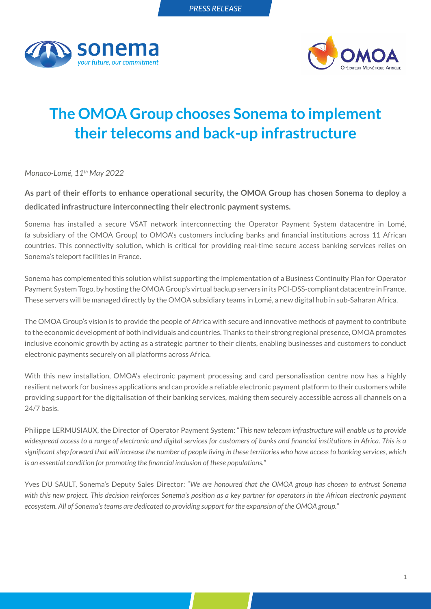



## **The OMOA Group chooses Sonema to implement their telecoms and back-up infrastructure**

*Monaco-Lomé, 11th May 2022*

**As part of their efforts to enhance operational security, the OMOA Group has chosen Sonema to deploy a dedicated infrastructure interconnecting their electronic payment systems.**

Sonema has installed a secure VSAT network interconnecting the Operator Payment System datacentre in Lomé, (a subsidiary of the OMOA Group) to OMOA's customers including banks and financial institutions across 11 African countries. This connectivity solution, which is critical for providing real-time secure access banking services relies on Sonema's teleport facilities in France.

Sonema has complemented this solution whilst supporting the implementation of a Business Continuity Plan for Operator Payment System Togo, by hosting the OMOA Group's virtual backup servers in its PCI-DSS-compliant datacentre in France. These servers will be managed directly by the OMOA subsidiary teams in Lomé, a new digital hub in sub-Saharan Africa.

The OMOA Group's vision is to provide the people of Africa with secure and innovative methods of payment to contribute to the economic development of both individuals and countries. Thanks to their strong regional presence, OMOA promotes inclusive economic growth by acting as a strategic partner to their clients, enabling businesses and customers to conduct electronic payments securely on all platforms across Africa.

With this new installation, OMOA's electronic payment processing and card personalisation centre now has a highly resilient network for business applications and can provide a reliable electronic payment platform to their customers while providing support for the digitalisation of their banking services, making them securely accessible across all channels on a 24/7 basis.

Philippe LERMUSIAUX, the Director of Operator Payment System: "*This new telecom infrastructure will enable us to provide widespread access to a range of electronic and digital services for customers of banks and financial institutions in Africa. This is a significant step forward that will increase the number of people living in these territories who have access to banking services, which is an essential condition for promoting the financial inclusion of these populations.*"

Yves DU SAULT, Sonema's Deputy Sales Director: "*We are honoured that the OMOA group has chosen to entrust Sonema with this new project. This decision reinforces Sonema's position as a key partner for operators in the African electronic payment ecosystem. All of Sonema's teams are dedicated to providing support for the expansion of the OMOA group.*"